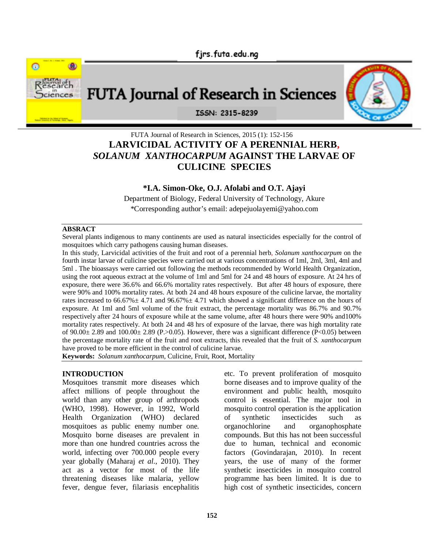fjrs.futa.edu.ng



# **FUTA Journal of Research in Sciences**

ISSN: 2315-8239

# FUTA Journal of Research in Sciences, 2015 (1): 152-156 **LARVICIDAL ACTIVITY OF A PERENNIAL HERB,** *SOLANUM XANTHOCARPUM* **AGAINST THE LARVAE OF CULICINE SPECIES**

## **\*I.A. Simon-Oke, O.J. Afolabi and O.T. Ajayi**

Department of Biology, Federal University of Technology, Akure \*Corresponding author's email: adepejuolayemi@yahoo.com

#### **ABSRACT**

Several plants indigenous to many continents are used as natural insecticides especially for the control of mosquitoes which carry pathogens causing human diseases.

In this study, Larvicidal activities of the fruit and root of a perennial herb, *Solanum xanthocarpum* on the fourth instar larvae of culicine species were carried out at various concentrations of 1ml, 2ml, 3ml, 4ml and 5ml . The bioassays were carried out following the methods recommended by World Health Organization, using the root aqueous extract at the volume of 1ml and 5ml for 24 and 48 hours of exposure. At 24 hrs of exposure, there were 36.6% and 66.6% mortality rates respectively. But after 48 hours of exposure, there were 90% and 100% mortality rates. At both 24 and 48 hours exposure of the culicine larvae, the mortality rates increased to  $66.67\% \pm 4.71$  and  $96.67\% \pm 4.71$  which showed a significant difference on the hours of exposure. At 1ml and 5ml volume of the fruit extract, the percentage mortality was 86.7% and 90.7% respectively after 24 hours of exposure while at the same volume, after 48 hours there were 90% and100% mortality rates respectively. At both 24 and 48 hrs of exposure of the larvae, there was high mortality rate of  $90.00\pm 2.89$  and  $100.00\pm 2.89$  (P.>0.05). However, there was a significant difference (P<0.05) between the percentage mortality rate of the fruit and root extracts, this revealed that the fruit of *S. xanthocarpum* have proved to be more efficient in the control of culicine larvae.

**Keywords:** *Solanum xanthocarpum,* Culicine, Fruit, Root, Mortality

#### **INTRODUCTION**

Mosquitoes transmit more diseases which affect millions of people throughout the world than any other group of arthropods (WHO, 1998). However, in 1992, World Health Organization (WHO) declared mosquitoes as public enemy number one. Mosquito borne diseases are prevalent in more than one hundred countries across the world, infecting over 700.000 people every year globally (Maharaj *et al.*, 2010). They act as a vector for most of the life threatening diseases like malaria, yellow fever, dengue fever, filariasis encephalitis etc. To prevent proliferation of mosquito borne diseases and to improve quality of the environment and public health, mosquito control is essential. The major tool in mosquito control operation is the application of synthetic insecticides such as organochlorine and organophosphate compounds. But this has not been successful due to human, technical and economic factors (Govindarajan, 2010). In recent years, the use of many of the former synthetic insecticides in mosquito control programme has been limited. It is due to high cost of synthetic insecticides, concern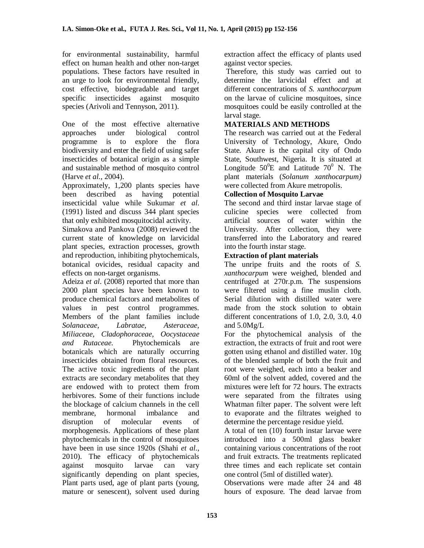for environmental sustainability, harmful effect on human health and other non-target populations. These factors have resulted in an urge to look for environmental friendly, cost effective, biodegradable and target specific insecticides against mosquito species (Arivoli and Tennyson, 2011).

One of the most effective alternative approaches under biological control programme is to explore the flora biodiversity and enter the field of using safer insecticides of botanical origin as a simple and sustainable method of mosquito control (Harve *et al.*, 2004).

Approximately, 1,200 plants species have been described as having potential insecticidal value while Sukumar *et al*. (1991) listed and discuss 344 plant species that only exhibited mosquitocidal activity.

Simakova and Pankova (2008) reviewed the current state of knowledge on larvicidal plant species, extraction processes, growth and reproduction, inhibiting phytochemicals, botanical ovicides, residual capacity and effects on non-target organisms.

Adeiza *et al*. (2008) reported that more than 2000 plant species have been known to produce chemical factors and metabolites of values in pest control programmes. Members of the plant families include *Solanaceae, Labratae, Asteraceae, Miliaceae, Cladophoraceae, Oocystaceae and Rutaceae.* Phytochemicals are botanicals which are naturally occurring insecticides obtained from floral resources. The active toxic ingredients of the plant extracts are secondary metabolites that they are endowed with to protect them from herbivores. Some of their functions include the blockage of calcium channels in the cell membrane, hormonal imbalance and disruption of molecular events of morphogenesis. Applications of these plant phytochemicals in the control of mosquitoes have been in use since 1920s (Shahi *et al.*, 2010). The efficacy of phytochemicals against mosquito larvae can vary significantly depending on plant species, Plant parts used, age of plant parts (young, mature or senescent), solvent used during

extraction affect the efficacy of plants used against vector species.

Therefore, this study was carried out to determine the larvicidal effect and at different concentrations of *S. xanthocarpum* on the larvae of culicine mosquitoes, since mosquitoes could be easily controlled at the larval stage.

# **MATERIALS AND METHODS**

The research was carried out at the Federal University of Technology, Akure, Ondo State. Akure is the capital city of Ondo State, Southwest, Nigeria. It is situated at Longitude  $50^0$ E and Latitude  $70^0$  N. The plant materials (*Solanum xanthocarpum)* were collected from Akure metropolis.

## **Collection of Mosquito Larvae**

The second and third instar larvae stage of culicine species were collected from artificial sources of water within the University. After collection, they were transferred into the Laboratory and reared into the fourth instar stage.

#### **Extraction of plant materials**

The unripe fruits and the roots of *S. xanthocarpum* were weighed, blended and centrifuged at 270r.p.m. The suspensions were filtered using a fine muslin cloth. Serial dilution with distilled water were made from the stock solution to obtain different concentrations of 1.0, 2.0, 3.0, 4.0 and  $5.0Mg/L$ 

For the phytochemical analysis of the extraction, the extracts of fruit and root were gotten using ethanol and distilled water. 10g of the blended sample of both the fruit and root were weighed, each into a beaker and 60ml of the solvent added, covered and the mixtures were left for 72 hours. The extracts were separated from the filtrates using Whatman filter paper. The solvent were left to evaporate and the filtrates weighed to determine the percentage residue yield.

A total of ten (10) fourth instar larvae were introduced into a 500ml glass beaker containing various concentrations of the root and fruit extracts. The treatments replicated three times and each replicate set contain one control (5ml of distilled water).

Observations were made after 24 and 48 hours of exposure. The dead larvae from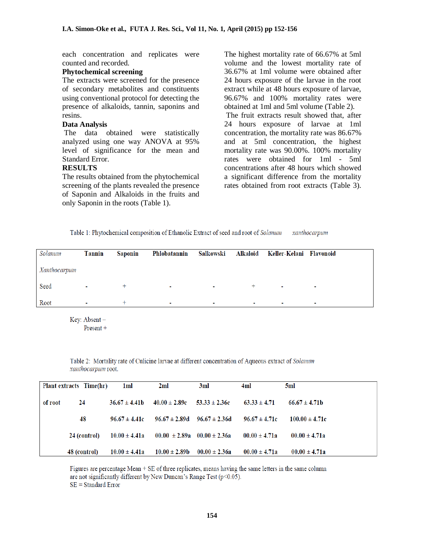each concentration and replicates were counted and recorded.

#### **Phytochemical screening**

The extracts were screened for the presence of secondary metabolites and constituents using conventional protocol for detecting the presence of alkaloids, tannin, saponins and resins.

#### **Data Analysis**

 The data obtained were statistically analyzed using one way ANOVA at 95% level of significance for the mean and Standard Error.

#### **RESULTS**

The results obtained from the phytochemical screening of the plants revealed the presence of Saponin and Alkaloids in the fruits and only Saponin in the roots (Table 1).

The highest mortality rate of 66.67% at 5ml volume and the lowest mortality rate of 36.67% at 1ml volume were obtained after 24 hours exposure of the larvae in the root extract while at 48 hours exposure of larvae, 96.67% and 100% mortality rates were obtained at 1ml and 5ml volume (Table 2).

The fruit extracts result showed that, after 24 hours exposure of larvae at 1ml concentration, the mortality rate was 86.67% and at 5ml concentration, the highest mortality rate was 90.00%. 100% mortality rates were obtained for 1ml - 5ml concentrations after 48 hours which showed a significant difference from the mortality rates obtained from root extracts (Table 3).

Table 1: Phytochemical composition of Ethanolic Extract of seed and root of Solanum xanthocarpum

| Solanum      | <b>Tannin</b>  | Saponin | Phlobatannin |                          |                          | Salkowski Alkaloid Keller-Kelani Flavonoid |                          |
|--------------|----------------|---------|--------------|--------------------------|--------------------------|--------------------------------------------|--------------------------|
| Xanthocarpum |                |         |              |                          |                          |                                            |                          |
| Seed         |                |         | ۰            | $\sim$                   |                          |                                            | ٠                        |
| Root         | $\blacksquare$ |         | ۰            | $\overline{\phantom{a}}$ | $\overline{\phantom{a}}$ | $\overline{\phantom{a}}$                   | $\overline{\phantom{a}}$ |

Kev: Absent-Present  $+$ 

Table 2: Mortality rate of Culicine larvae at different concentration of Aqueous extract of Solanum xanthocarpum root.

|         | Plant extracts Time(hr) | 1ml               | 2ml               | 3ml                                 | 4ml               | 5ml                |
|---------|-------------------------|-------------------|-------------------|-------------------------------------|-------------------|--------------------|
| of root | 24                      | $36.67 \pm 4.41b$ | $40.00 \pm 2.89c$ | $53.33 \pm 2.36c$                   | $63.33 \pm 4.71$  | $66.67 \pm 4.71b$  |
|         | 48                      | $96.67 \pm 4.41c$ |                   | $96.67 \pm 2.89d$ $96.67 \pm 2.36d$ | $96.67 \pm 4.71c$ | $100.00 \pm 4.71c$ |
|         | 24 (control)            | $10.00 \pm 4.41a$ |                   | $00.00 \pm 2.89a$ $00.00 \pm 2.36a$ | $00.00 \pm 4.71a$ | $00.00 \pm 4.71a$  |
|         | 48 (control)            | $10.00 \pm 4.41a$ | $10.00 \pm 2.89b$ | $00.00 \pm 2.36a$                   | $00.00 \pm 4.71a$ | $00.00 \pm 4.71a$  |

Figures are percentage Mean + SE of three replicates, means having the same letters in the same column are not significantly different by New Duncan's Range Test (p<0.05).  $SE = Standard Error$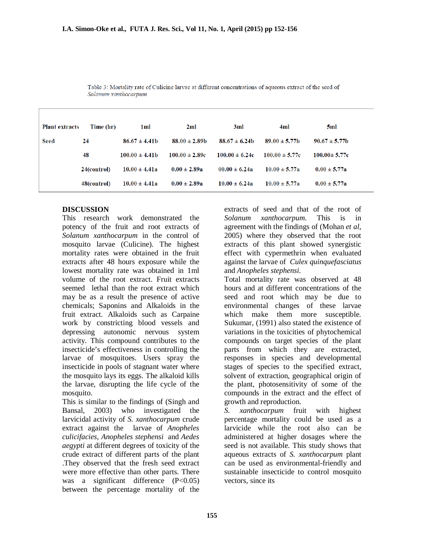| <b>Plant extracts</b> | Time (hr)   | 1ml                | 2ml                | 3ml                | 4ml                | 5ml                |
|-----------------------|-------------|--------------------|--------------------|--------------------|--------------------|--------------------|
| <b>Seed</b>           | 24          | $86.67 \pm 4.41b$  | $88.00 \pm 2.89$ b | $88.67 \pm 6.24b$  | $89.00 \pm 5.77$ b | $90.67 \pm 5.77$ b |
|                       | 48          | $100.00 \pm 4.41b$ | $100.00 \pm 2.89c$ | $100.00 \pm 6.24c$ | $100.00 \pm 5.77c$ | $100.00 \pm 5.77c$ |
|                       | 24(control) | $10.00 \pm 4.41a$  | $0.00 \pm 2.89a$   | $00.00 \pm 6.24a$  | $10.00 \pm 5.77a$  | $0.00 \pm 5.77a$   |
|                       | 48(control) | $10.00 \pm 4.41a$  | $0.00 \pm 2.89a$   | $10.00 \pm 6.24a$  | $10.00 \pm 5.77a$  | $0.00 \pm 5.77a$   |

Table 3: Mortality rate of Culicine larvae at different concentrations of aqueous extract of the seed of Solanum xanthocarpum

#### **DISCUSSION**

This research work demonstrated the potency of the fruit and root extracts of *Solanum xanthocarpum* in the control of mosquito larvae (Culicine). The highest mortality rates were obtained in the fruit extracts after 48 hours exposure while the lowest mortality rate was obtained in 1ml volume of the root extract. Fruit extracts seemed lethal than the root extract which may be as a result the presence of active chemicals; Saponins and Alkaloids in the fruit extract. Alkaloids such as Carpaine work by constricting blood vessels and depressing autonomic nervous system activity. This compound contributes to the insecticide's effectiveness in controlling the larvae of mosquitoes. Users spray the insecticide in pools of stagnant water where the mosquito lays its eggs. The alkaloid kills the larvae, disrupting the life cycle of the mosquito.

This is similar to the findings of (Singh and Bansal, 2003) who investigated the larvicidal activity of *S. xanthocarpum* crude extract against the larvae of *Anopheles culicifacies, Anopheles stephensi* and *Aedes aegypti* at different degrees of toxicity of the crude extract of different parts of the plant .They observed that the fresh seed extract were more effective than other parts. There was a significant difference (P<0.05) between the percentage mortality of the

extracts of seed and that of the root of *Solanum xanthocarpum.* This is in agreement with the findings of (Mohan *et al*, 2005) where they observed that the root extracts of this plant showed synergistic effect with cypermethrin when evaluated against the larvae of *Culex quinquefasciatus*  and *Anopheles stephensi.*

Total mortality rate was observed at 48 hours and at different concentrations of the seed and root which may be due to environmental changes of these larvae which make them more susceptible. Sukumar, (1991) also stated the existence of variations in the toxicities of phytochemical compounds on target species of the plant parts from which they are extracted, responses in species and developmental stages of species to the specified extract, solvent of extraction, geographical origin of the plant, photosensitivity of some of the compounds in the extract and the effect of growth and reproduction.

*S. xanthocarpum* fruit with highest percentage mortality could be used as a larvicide while the root also can be administered at higher dosages where the seed is not available. This study shows that aqueous extracts of *S. xanthocarpum* plant can be used as environmental-friendly and sustainable insecticide to control mosquito vectors, since its